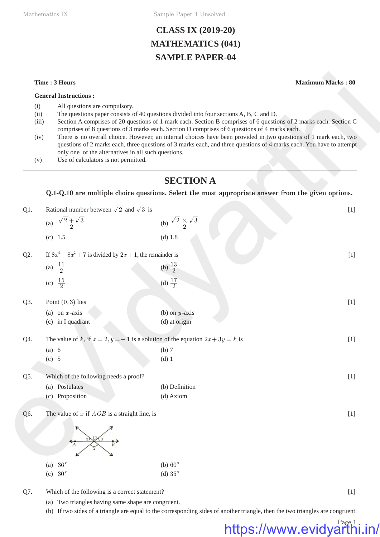Mathematics IX Sample Paper 4 Unsolved

## **CLASS IX (2019-20) MATHEMATICS (041) SAMPLE PAPER-04**

- (i) All questions are compulsory.
- (ii) The questions paper consists of 40 questions divided into four sections A, B, C and D.
- (iii) Section A comprises of 20 questions of 1 mark each. Section B comprises of 6 questions of 2 marks each. Section C comprises of 8 questions of 3 marks each. Section D comprises of 6 questions of 4 marks each.
- (iv) There is no overall choice. However, an internal choices have been provided in two questions of 1 mark each, two questions of 2 marks each, three questions of 3 marks each, and three questions of 4 marks each. You have to attempt only one of the alternatives in all such questions.
- (v) Use of calculators is not permitted.

## **SECTION A**

### **Q.1-Q.10 are multiple choice questions. Select the most appropriate answer from the given options.**

|                                     | Time: 3 Hours                                                                                                                |                                                                                                                                                                                                                                                                                                                                                                                                                                                                                                                                                          | <b>Maximum Marks: 80</b> |  |  |
|-------------------------------------|------------------------------------------------------------------------------------------------------------------------------|----------------------------------------------------------------------------------------------------------------------------------------------------------------------------------------------------------------------------------------------------------------------------------------------------------------------------------------------------------------------------------------------------------------------------------------------------------------------------------------------------------------------------------------------------------|--------------------------|--|--|
|                                     | <b>General Instructions:</b>                                                                                                 |                                                                                                                                                                                                                                                                                                                                                                                                                                                                                                                                                          |                          |  |  |
| (i)<br>(ii)<br>(iii)<br>(iv)<br>(v) | All questions are compulsory.<br>only one of the alternatives in all such questions.<br>Use of calculators is not permitted. | The questions paper consists of 40 questions divided into four sections A, B, C and D.<br>Section A comprises of 20 questions of 1 mark each. Section B comprises of 6 questions of 2 marks each. Section C<br>comprises of 8 questions of 3 marks each. Section D comprises of 6 questions of 4 marks each.<br>There is no overall choice. However, an internal choices have been provided in two questions of 1 mark each, two<br>questions of 2 marks each, three questions of 3 marks each, and three questions of 4 marks each. You have to attempt |                          |  |  |
|                                     |                                                                                                                              | <b>SECTION A</b>                                                                                                                                                                                                                                                                                                                                                                                                                                                                                                                                         |                          |  |  |
|                                     |                                                                                                                              | Q.1-Q.10 are multiple choice questions. Select the most appropriate answer from the given options.                                                                                                                                                                                                                                                                                                                                                                                                                                                       |                          |  |  |
| Q1.                                 | Rational number between $\sqrt{2}$ and $\sqrt{3}$ is                                                                         |                                                                                                                                                                                                                                                                                                                                                                                                                                                                                                                                                          | $[1]$                    |  |  |
|                                     | (a) $\frac{\sqrt{2} + \sqrt{3}}{2}$                                                                                          | (b) $\frac{\sqrt{2} \times \sqrt{3}}{2}$                                                                                                                                                                                                                                                                                                                                                                                                                                                                                                                 |                          |  |  |
|                                     | (c) 1.5                                                                                                                      | (d) 1.8                                                                                                                                                                                                                                                                                                                                                                                                                                                                                                                                                  |                          |  |  |
| Q2.                                 | If $8x^4 - 8x^2 + 7$ is divided by $2x + 1$ , the remainder is<br>$[1]$                                                      |                                                                                                                                                                                                                                                                                                                                                                                                                                                                                                                                                          |                          |  |  |
|                                     | (a) $\frac{11}{2}$                                                                                                           | (b) $\frac{13}{2}$                                                                                                                                                                                                                                                                                                                                                                                                                                                                                                                                       |                          |  |  |
|                                     | (c) $\frac{15}{2}$                                                                                                           | (d) $\frac{17}{2}$                                                                                                                                                                                                                                                                                                                                                                                                                                                                                                                                       |                          |  |  |
| Q3.                                 | Point $(0,3)$ lies                                                                                                           |                                                                                                                                                                                                                                                                                                                                                                                                                                                                                                                                                          | $[1]$                    |  |  |
|                                     | (a) on $x$ -axis                                                                                                             | (b) on $y$ -axis                                                                                                                                                                                                                                                                                                                                                                                                                                                                                                                                         |                          |  |  |
|                                     | (c) in I quadrant                                                                                                            | (d) at origin                                                                                                                                                                                                                                                                                                                                                                                                                                                                                                                                            |                          |  |  |
| Q4.                                 |                                                                                                                              | The value of k, if $x = 2$ , $y = -1$ is a solution of the equation $2x + 3y = k$ is                                                                                                                                                                                                                                                                                                                                                                                                                                                                     | $[1]$                    |  |  |
|                                     | (a) 6                                                                                                                        | (b) 7                                                                                                                                                                                                                                                                                                                                                                                                                                                                                                                                                    |                          |  |  |
|                                     | (c) 5                                                                                                                        | $(d)$ 1                                                                                                                                                                                                                                                                                                                                                                                                                                                                                                                                                  |                          |  |  |
| Q5.                                 | Which of the following needs a proof?                                                                                        |                                                                                                                                                                                                                                                                                                                                                                                                                                                                                                                                                          | $[1]$                    |  |  |
|                                     | (a) Postulates                                                                                                               | (b) Definition                                                                                                                                                                                                                                                                                                                                                                                                                                                                                                                                           |                          |  |  |
|                                     | (c) Proposition                                                                                                              | (d) Axiom                                                                                                                                                                                                                                                                                                                                                                                                                                                                                                                                                |                          |  |  |
| Q6.                                 | The value of $x$ if $AOB$ is a straight line, is                                                                             |                                                                                                                                                                                                                                                                                                                                                                                                                                                                                                                                                          | $[1]$                    |  |  |
|                                     |                                                                                                                              |                                                                                                                                                                                                                                                                                                                                                                                                                                                                                                                                                          |                          |  |  |
|                                     | (a) $36^\circ$                                                                                                               | (b) $60^\circ$                                                                                                                                                                                                                                                                                                                                                                                                                                                                                                                                           |                          |  |  |
|                                     | (c) $30^\circ$                                                                                                               | (d) $35^\circ$                                                                                                                                                                                                                                                                                                                                                                                                                                                                                                                                           |                          |  |  |

- Q7. Which of the following is a correct statement? [1]
	- (a) Two triangles having same shape are congruent.
	- (b) If two sides of a triangle are equal to the corresponding sides of another triangle, then the two triangles are congruent.

## Page<sub>1</sub> https://www.evidyarthi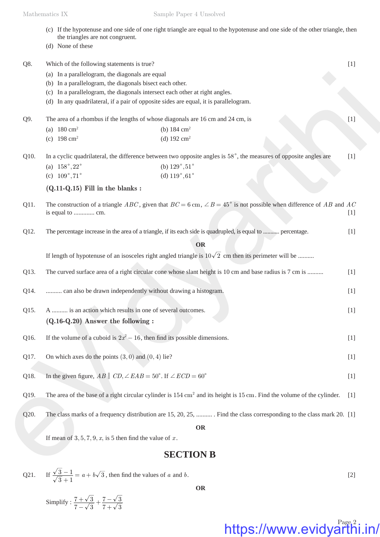- (c) If the hypotenuse and one side of one right triangle are equal to the hypotenuse and one side of the other triangle, then the triangles are not congruent.
	- (d) None of these

|      | $(u)$ rolly of these                                                                                                                                |       |  |
|------|-----------------------------------------------------------------------------------------------------------------------------------------------------|-------|--|
| Q8.  | Which of the following statements is true?                                                                                                          | $[1]$ |  |
|      | (a) In a parallelogram, the diagonals are equal                                                                                                     |       |  |
|      | (b) In a parallelogram, the diagonals bisect each other.                                                                                            |       |  |
|      | (c) In a parallelogram, the diagonals intersect each other at right angles.                                                                         |       |  |
|      | (d) In any quadrilateral, if a pair of opposite sides are equal, it is parallelogram.                                                               |       |  |
| Q9.  | The area of a rhombus if the lengths of whose diagonals are 16 cm and 24 cm, is                                                                     |       |  |
|      | (a) $180 \text{ cm}^2$<br>(b) $184 \text{ cm}^2$                                                                                                    |       |  |
|      | (c) $198 \text{ cm}^2$<br>(d) $192 \text{ cm}^2$                                                                                                    |       |  |
| Q10. | In a cyclic quadrilateral, the difference between two opposite angles is $58^\circ$ , the measures of opposite angles are                           |       |  |
|      | (a) $158^\circ, 22^\circ$<br>(b) $129^{\circ}, 51^{\circ}$                                                                                          |       |  |
|      | (d) $119^{\circ}, 61^{\circ}$<br>(c) $109^\circ, 71^\circ$                                                                                          |       |  |
|      | $(Q.11-Q.15)$ Fill in the blanks:                                                                                                                   |       |  |
| Q11. | The construction of a triangle ABC, given that $BC = 6$ cm, $\angle B = 45^{\circ}$ is not possible when difference of AB and AC                    |       |  |
|      | is equal to  cm.                                                                                                                                    | $[1]$ |  |
|      |                                                                                                                                                     |       |  |
| Q12. | The percentage increase in the area of a triangle, if its each side is quadrupled, is equal to  percentage.                                         | $[1]$ |  |
|      | <b>OR</b>                                                                                                                                           |       |  |
|      | If length of hypotenuse of an isosceles right angled triangle is $10\sqrt{2}$ cm then its perimeter will be                                         |       |  |
| Q13. | The curved surface area of a right circular cone whose slant height is 10 cm and base radius is 7 cm is                                             |       |  |
| Q14. |                                                                                                                                                     |       |  |
|      | can also be drawn independently without drawing a histogram.<br>$[1]$                                                                               |       |  |
| Q15. | A  is an action which results in one of several outcomes.                                                                                           |       |  |
|      | $(Q.16-Q.20)$ Answer the following :                                                                                                                |       |  |
| Q16. | If the volume of a cuboid is $2x^2 - 16$ , then find its possible dimensions.                                                                       | $[1]$ |  |
|      |                                                                                                                                                     |       |  |
| Q17. | On which axes do the points $(3,0)$ and $(0,4)$ lie?                                                                                                | $[1]$ |  |
|      |                                                                                                                                                     |       |  |
| Q18. | In the given figure, $AB \parallel CD, \angle EAB = 50^{\circ}$ . If $\angle ECD = 60^{\circ}$                                                      | $[1]$ |  |
| Q19. | The area of the base of a right circular cylinder is $154 \text{ cm}^2$ and its height is $15 \text{ cm}$ . Find the volume of the cylinder.<br>[1] |       |  |
| Q20. | The class marks of a frequency distribution are 15, 20, 25,  Find the class corresponding to the class mark 20. [1]                                 |       |  |
|      | <b>OR</b>                                                                                                                                           |       |  |
|      | If mean of $3, 5, 7, 9, x$ , is 5 then find the value of x.                                                                                         |       |  |
|      |                                                                                                                                                     |       |  |
|      | <b>SECTION B</b>                                                                                                                                    |       |  |
|      |                                                                                                                                                     |       |  |

## **SECTION B**

Q21. If 
$$
\frac{\sqrt{3}-1}{\sqrt{3}+1} = a + b\sqrt{3}
$$
, then find the values of *a* and *b*. [2]

**OR**

Simplify :  $\frac{7+\sqrt{3}}{7-\sqrt{3}}$  $7 + \sqrt{3}$  $7 - \sqrt{3}$  $\frac{+\sqrt{3}}{-\sqrt{3}} + \frac{7-\sqrt{3}}{7+\sqrt{3}}$ −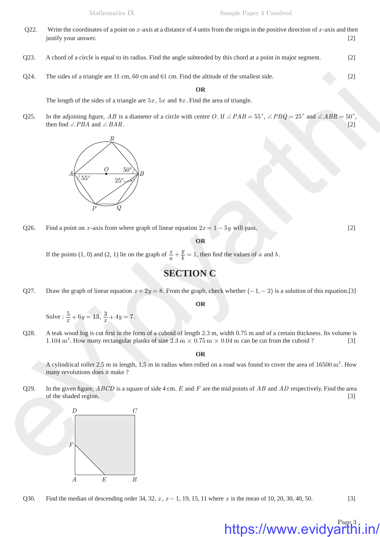- Q22. Write the coordinates of a point on  $x$ -axis at a distance of 4 units from the origin in the positive direction of  $x$ -axis and then justify your answer. [2]
- Q23. A chord of a circle is equal to its radius. Find the angle subtended by this chord at a point in major segment. [2]
- Q24. The sides of a triangle are 11 cm, 60 cm and 61 cm. Find the altitude of the smallest side. [2]

#### **OR**

The length of the sides of a triangle are  $5x$ ,  $5x$  and  $8x$ . Find the area of triangle.

Q25. In the adjoining figure, *AB* is a diameter of a circle with centre *O*. If  $\angle PAB = 55^{\circ}$ ,  $\angle PBC = 25^{\circ}$  and  $\angle ABR = 50^{\circ}$ , then find  $\angle PBA$  and  $\angle BAR$ . [2]



Q26. Find a point on *x*-axis from where graph of linear equation  $2x = 1 - 5y$  will pass. [2]

**OR**

If the points (1, 0) and (2, 1) lie on the graph of  $\frac{x}{a}$  $+\frac{y}{b} = 1$ , then find the values of *a* and *b*.

## **SECTION C**

Q27. Draw the graph of linear equation  $x + 2y = 8$ . From the graph, check whether  $(-1, -2)$  is a solution of this equation. [3]

**OR**

Solve :  $\frac{5}{x} + 6y = 13$ ,  $\frac{3}{x} + 4y = 7$ .

Q28. A teak wood log is cut first in the form of a cuboid of length 2.3 m, width 0.75 m and of a certain thickness. Its volume is 1.104 m<sup>3</sup>. How many rectangular planks of size  $2.3 \text{ m} \times 0.75 \text{ m} \times 0.04 \text{ m}$  can be cut from the cuboid ? [3]

**OR**

A cylindrical roller 2.5 m in length, 1.5 m in radius when rolled on a road was found to cover the area of  $16500 \text{ m}^2$ . How many revolutions does it make ?

Q29. In the given figure, *ABCD* is a square of side 4 cm. *E* and *F* are the mid points of *AB* and *AD* respectively. Find the area of the shaded region. [3]



Q30. Find the median of descending order 34, 32, *x*, *x* – 1, 19, 15, 11 where *x* is the mean of 10, 20, 30, 40, 50. [3]

## Page<sub>3</sub> https://www.evidyarth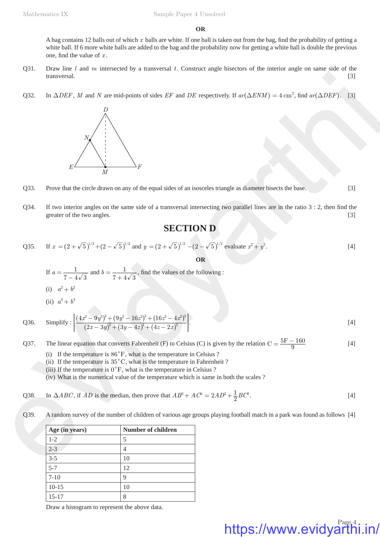#### **OR**

A bag contains 12 balls out of which x balls are white. If one ball is taken out from the bag, find the probability of getting a white ball. If 6 more white balls are added to the bag and the probability now for getting a white ball is double the previous one, find the value of  $x$ .

- Q31. Draw line *l* and *m* intersected by a transversal *t*. Construct angle bisectors of the interior angle on same side of the transversal. [3]
- Q32. In  $\triangle DEF$ , *M* and *N* are mid-points of sides *EF* and *DE* respectively. If  $ar(\triangle ENM) = 4 \text{ cm}^2$ , find  $ar(\triangle DEF)$ . [3]



- Q33. Prove that the circle drawn on any of the equal sides of an isosceles triangle as diameter bisects the base. [3]
- Q34. If two interior angles on the same side of a transversal intersecting two parallel lines are in the ratio  $3:2$ , then find the greater of the two angles. [3]

## **SECTION D**

Q35. If 
$$
x = (2 + \sqrt{5})^{1/2} + (2 - \sqrt{5})^{1/2}
$$
 and  $y = (2 + \sqrt{5})^{1/2} - (2 - \sqrt{5})^{1/2}$  evaluate  $x^2 + y^2$ . [4]

**OR**

- If  $a = \frac{1}{7 4\sqrt{3}}$  and  $b = \frac{1}{7 + 4\sqrt{3}}$ , find the values of the following : (i)  $a^2 + b^2$
- (ii)  $a^3 + b^3$

transversal.  
\nQ32. In Δ*DEF*, *M* and *N* are mid-points of sides *EF* and *DE* respectively. If 
$$
ar(\Delta EMM) = 4
$$
 cm<sup>2</sup>, find  $ar(\Delta DEF)$ . [3]  
\n*D*  
\n*E*  
\n*M*  
\nQ33. Prove that the circle drawn on any of the equal sides of an isosceles triangle as diameter bisects the base.  
\nQ34. If two interior angles on the same side of a transversal intersecting two parallel lines are in the ratio 3 : 2, then find the greater of the two angles.  
\nQ35. If  $x = (2 + \sqrt{5})^{7/3} + (2 - \sqrt{5})^{7/3}$  and  $y = (2 + \sqrt{5})^{7/3} - (2 - \sqrt{5})^{7/3}$  evaluate  $x^2 + y^2$ .  
\nIf  $a = \frac{1}{7 - 4\sqrt{3}}$  and  $b = \frac{1}{7 + 4\sqrt{3}}$ , find the values of the following:  
\n(i)  $a^2 + b^2$   
\n(ii)  $a^2 + b^2$   
\n(iii)  $a^2 + b^2$   
\n(iiii)  $(4x^2 - 9y^2)^2 + (9y^2 - 16z^2)^2 + (16z^2 - 4z^2)^2$ .  
\nQ36. Simplify:  $\left[\frac{(4x^2 - 9y^2)^2 + (9y^2 - 4z^2)^2 + (12z - 2z^2)^2}{(2z - 3y)^2 + (3y - 4z)^2 + (4z - 2z^2)^2}\right]$ .  
\nQ37. The linear equation that converts Fahrenheit (F) to Celsius (C) is given by the relation  $C = \frac{5F - 160}{9}$  [4]  
\n(i) If the temperature is 85°C, what is the temperature in Celsius? (ii) If the temperature is 5°C, what is the temperature in Celsius? (iii) If the temperature is 5°C, what is the temperature in Celsius? (iv) What is the temperature which is same in both the scales? (v) What is the temperature of children of various age groups playing football match in a park was found as follows [4]

Q37. The linear equation that converts Fahrenheit (F) to Celsius (C) is given by the relation  $C = \frac{5F - 160}{9}$  [4]

- (i) If the temperature is  $86^\circ$ F, what is the temperature in Celsius ?
- (ii) If the temperature is  $35^{\circ}$ C, what is the temperature in Fahrenheit ?
- (iii) If the temperature is  $0^{\circ}$ F, what is the temperature in Celsius ?
- (iv) What is the numerical value of the temperature which is same in both the scales ?

Q38. In 
$$
\triangle ABC
$$
, if  $AD$  is the median, then prove that  $AB^2 + AC^2 = 2AD^2 + \frac{1}{2}BC^2$ . [4]

Q39. A random survey of the number of children of various age groups playing football match in a park was found as follows [4]

| Age (in years) | <b>Number of children</b> |
|----------------|---------------------------|
| $1-2$          | 5                         |
| $2 - 3$        | 4                         |
| $3 - 5$        | 10                        |
| $5 - 7$        | 12                        |
| $7 - 10$       | 9                         |
| $10 - 15$      | 10                        |
| $15 - 17$      | 8                         |

Draw a histogram to represent the above data.

# https://www.evidyarthi.in/